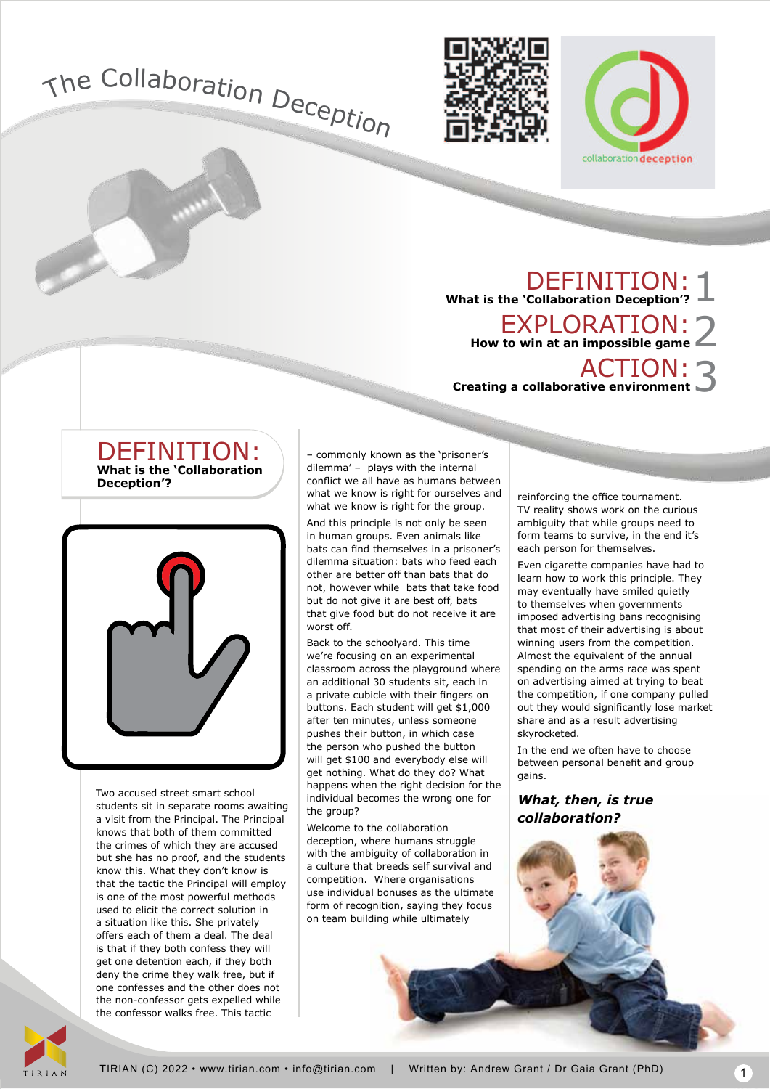



DEFINITION: **What is the 'Collaboration Deception'?** 1 EXPLORATION: **How to win at an impossible game** 2 ACTION: **Creating a collaborative environment**  3





Two accused street smart school students sit in separate rooms awaiting a visit from the Principal. The Principal knows that both of them committed the crimes of which they are accused but she has no proof, and the students know this. What they don't know is that the tactic the Principal will employ is one of the most powerful methods used to elicit the correct solution in a situation like this. She privately offers each of them a deal. The deal is that if they both confess they will get one detention each, if they both deny the crime they walk free, but if one confesses and the other does not the non-confessor gets expelled while the confessor walks free. This tactic

– commonly known as the 'prisoner's dilemma' – plays with the internal conflict we all have as humans between what we know is right for ourselves and what we know is right for the group.

And this principle is not only be seen in human groups. Even animals like bats can find themselves in a prisoner's dilemma situation: bats who feed each other are better off than bats that do not, however while bats that take food but do not give it are best off, bats that give food but do not receive it are worst off.

Back to the schoolyard. This time we're focusing on an experimental classroom across the playground where an additional 30 students sit, each in a private cubicle with their fingers on buttons. Each student will get \$1,000 after ten minutes, unless someone pushes their button, in which case the person who pushed the button will get \$100 and everybody else will get nothing. What do they do? What happens when the right decision for the individual becomes the wrong one for the group?

Welcome to the collaboration deception, where humans struggle with the ambiguity of collaboration in a culture that breeds self survival and competition. Where organisations use individual bonuses as the ultimate form of recognition, saying they focus on team building while ultimately

reinforcing the office tournament. TV reality shows work on the curious ambiguity that while groups need to form teams to survive, in the end it's each person for themselves.

Even cigarette companies have had to learn how to work this principle. They may eventually have smiled quietly to themselves when governments imposed advertising bans recognising that most of their advertising is about winning users from the competition. Almost the equivalent of the annual spending on the arms race was spent on advertising aimed at trying to beat the competition, if one company pulled out they would significantly lose market share and as a result advertising skyrocketed.

In the end we often have to choose between personal benefit and group gains.

*What, then, is true collaboration?*

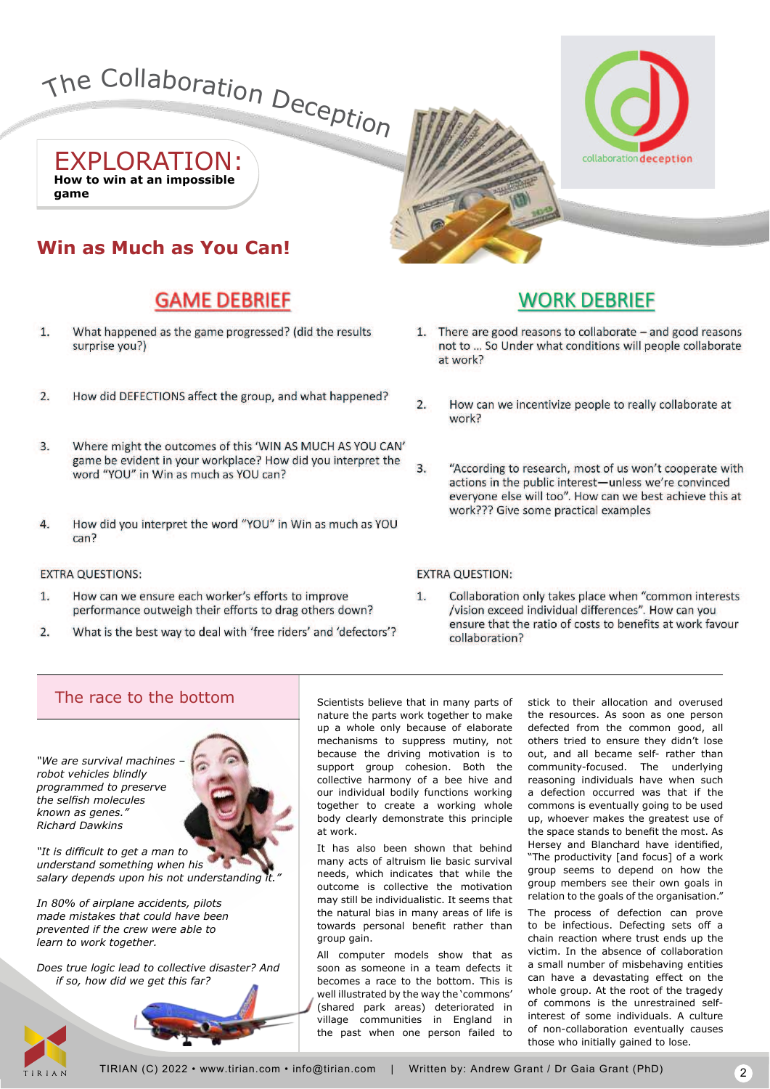

EXPLORATION: **How to win at an impossible game**

# **Win as Much as You Can!**

# **GAME DEBRIEF**

- $\overline{1}$ . What happened as the game progressed? (did the results surprise you?)
- $\overline{2}$ . How did DEFECTIONS affect the group, and what happened?
- 3. Where might the outcomes of this 'WIN AS MUCH AS YOU CAN' game be evident in your workplace? How did you interpret the word "YOU" in Win as much as YOU can?
- $\overline{4}$ How did you interpret the word "YOU" in Win as much as YOU can?

### **EXTRA QUESTIONS:**

- $\mathbf{1}$ How can we ensure each worker's efforts to improve performance outweigh their efforts to drag others down?
- $2.$ What is the best way to deal with 'free riders' and 'defectors'?

### **Running total** vv

- 1. There are good reasons to collaborate and good reasons not to ... So Under what conditions will people collaborate at work?
- $\overline{2}$ . How can we incentivize people to really collaborate at work?
- $3.$ "According to research, most of us won't cooperate with actions in the public interest-unless we're convinced everyone else will too". How can we best achieve this at work??? Give some practical examples

### **EXTRA QUESTION:**

Collaboration only takes place when "common interests  $\mathbf{1}$ /vision exceed individual differences". How can you ensure that the ratio of costs to benefits at work favour collaboration?

## The race to the bottom  $\overline{\phantom{a}}$  scientists believe that in many parts of

*"We are survival machines – robot vehicles blindly programmed to preserve* the selfish molecules *known as genes." Richard Dawkins*



"It is difficult to get a man to *understand something when his*  salary depends upon his not understanding it.

*In 80% of airplane accidents, pilots made mistakes that could have been prevented if the crew were able to learn to work together.*

*Does true logic lead to collective disaster? And if so, how did we get this far?*



nature the parts work together to make up a whole only because of elaborate mechanisms to suppress mutiny, not because the driving motivation is to support group cohesion. Both the collective harmony of a bee hive and our individual bodily functions working together to create a working whole body clearly demonstrate this principle at work.

It has also been shown that behind many acts of altruism lie basic survival needs, which indicates that while the outcome is collective the motivation may still be individualistic. It seems that the natural bias in many areas of life is towards personal benefit rather than group gain.

All computer models show that as soon as someone in a team defects it becomes a race to the bottom. This is well illustrated by the way the 'commons' (shared park areas) deteriorated in village communities in England in the past when one person failed to

stick to their allocation and overused the resources. As soon as one person defected from the common good, all others tried to ensure they didn't lose out, and all became self- rather than community-focused. The underlying reasoning individuals have when such a defection occurred was that if the commons is eventually going to be used up, whoever makes the greatest use of the space stands to benefit the most. As Hersey and Blanchard have identified, "The productivity [and focus] of a work group seems to depend on how the group members see their own goals in relation to the goals of the organisation."

The process of defection can prove to be infectious. Defecting sets off a chain reaction where trust ends up the victim. In the absence of collaboration a small number of misbehaving entities can have a devastating effect on the whole group. At the root of the tragedy of commons is the unrestrained selfinterest of some individuals. A culture of non-collaboration eventually causes those who initially gained to lose.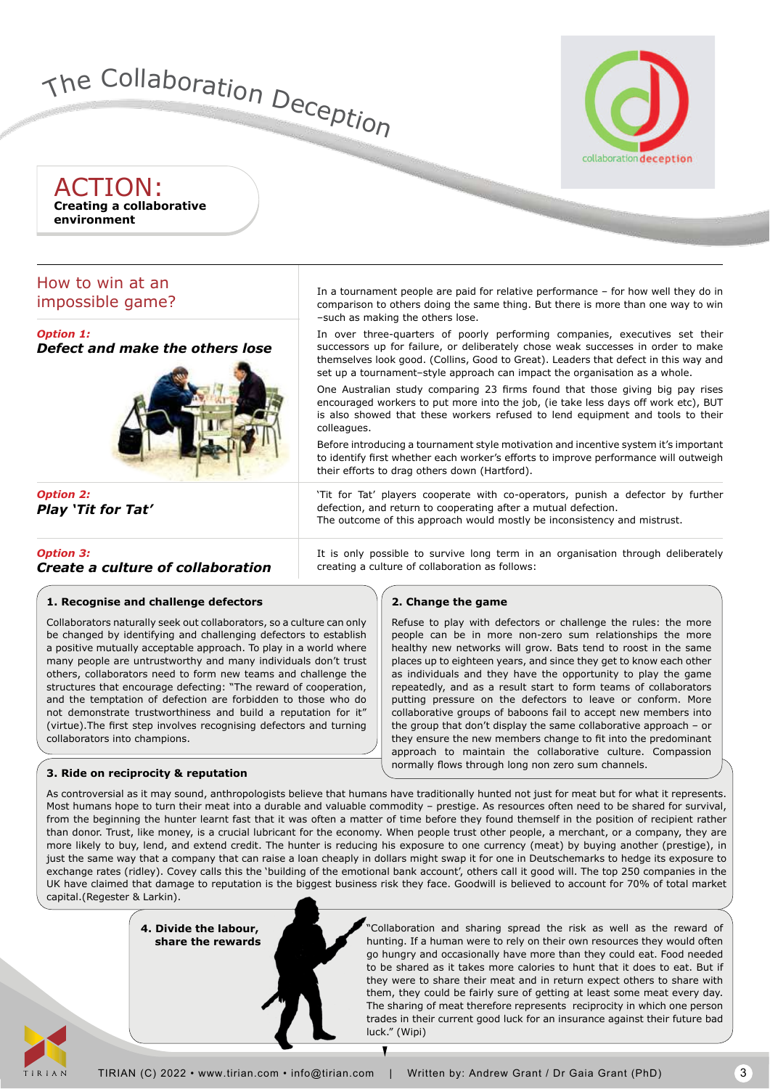

ACTION: **Creating a collaborative environment**

## How to win at an impossible game?

*Option 1: Defect and make the others lose*



*Option 2: Play 'Tit for Tat'*

*Option 3: Create a culture of collaboration* In a tournament people are paid for relative performance – for how well they do in comparison to others doing the same thing. But there is more than one way to win –such as making the others lose.

In over three-quarters of poorly performing companies, executives set their successors up for failure, or deliberately chose weak successes in order to make themselves look good. (Collins, Good to Great). Leaders that defect in this way and set up a tournament–style approach can impact the organisation as a whole.

One Australian study comparing 23 firms found that those giving big pay rises encouraged workers to put more into the job, (ie take less days off work etc), BUT is also showed that these workers refused to lend equipment and tools to their colleagues.

Before introducing a tournament style motivation and incentive system it's important to identify first whether each worker's efforts to improve performance will outweigh their efforts to drag others down (Hartford).

'Tit for Tat' players cooperate with co-operators, punish a defector by further defection, and return to cooperating after a mutual defection. The outcome of this approach would mostly be inconsistency and mistrust.

It is only possible to survive long term in an organisation through deliberately creating a culture of collaboration as follows:

### **2. Change the game**

Refuse to play with defectors or challenge the rules: the more people can be in more non-zero sum relationships the more healthy new networks will grow. Bats tend to roost in the same places up to eighteen years, and since they get to know each other as individuals and they have the opportunity to play the game repeatedly, and as a result start to form teams of collaborators putting pressure on the defectors to leave or conform. More collaborative groups of baboons fail to accept new members into the group that don't display the same collaborative approach – or they ensure the new members change to fit into the predominant approach to maintain the collaborative culture. Compassion normally flows through long non zero sum channels.

## Collaborators naturally seek out collaborators, so a culture can only

**1. Recognise and challenge defectors**

be changed by identifying and challenging defectors to establish a positive mutually acceptable approach. To play in a world where many people are untrustworthy and many individuals don't trust others, collaborators need to form new teams and challenge the structures that encourage defecting: "The reward of cooperation, and the temptation of defection are forbidden to those who do not demonstrate trustworthiness and build a reputation for it" (virtue). The first step involves recognising defectors and turning collaborators into champions.

### **3. Ride on reciprocity & reputation**

As controversial as it may sound, anthropologists believe that humans have traditionally hunted not just for meat but for what it represents. Most humans hope to turn their meat into a durable and valuable commodity – prestige. As resources often need to be shared for survival, from the beginning the hunter learnt fast that it was often a matter of time before they found themself in the position of recipient rather than donor. Trust, like money, is a crucial lubricant for the economy. When people trust other people, a merchant, or a company, they are more likely to buy, lend, and extend credit. The hunter is reducing his exposure to one currency (meat) by buying another (prestige), in just the same way that a company that can raise a loan cheaply in dollars might swap it for one in Deutschemarks to hedge its exposure to exchange rates (ridley). Covey calls this the 'building of the emotional bank account', others call it good will. The top 250 companies in the UK have claimed that damage to reputation is the biggest business risk they face. Goodwill is believed to account for 70% of total market capital.(Regester & Larkin).

> **4. Divide the labour, share the rewards**

"Collaboration and sharing spread the risk as well as the reward of hunting. If a human were to rely on their own resources they would often go hungry and occasionally have more than they could eat. Food needed to be shared as it takes more calories to hunt that it does to eat. But if they were to share their meat and in return expect others to share with them, they could be fairly sure of getting at least some meat every day. The sharing of meat therefore represents reciprocity in which one person trades in their current good luck for an insurance against their future bad luck." (Wipi)



Ţ